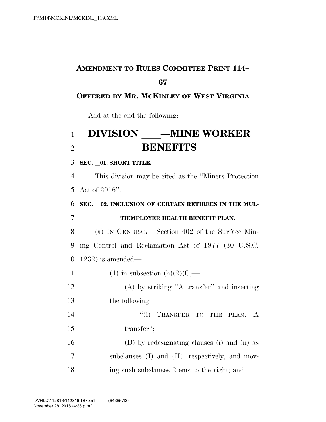## **AMENDMENT TO RULES COMMITTEE PRINT 114–**

### **OFFERED BY MR. MCKINLEY OF WEST VIRGINIA**

Add at the end the following:

# **DIVISION** — **MINE WORKER** 2 **BENEFITS**

**SEC.** l**01. SHORT TITLE.** 

 This division may be cited as the ''Miners Protection Act of 2016''.

**SEC.** l**02. INCLUSION OF CERTAIN RETIREES IN THE MUL-**

#### **TIEMPLOYER HEALTH BENEFIT PLAN.**

 (a) IN GENERAL.—Section 402 of the Surface Min- ing Control and Reclamation Act of 1977 (30 U.S.C. 1232) is amended—

11 (1) in subsection  $(h)(2)(C)$ —

 (A) by striking ''A transfer'' and inserting the following:

14 ''(i) TRANSFER TO THE PLAN.—A transfer'';

 (B) by redesignating clauses (i) and (ii) as subclauses (I) and (II), respectively, and mov-ing such subclauses 2 ems to the right; and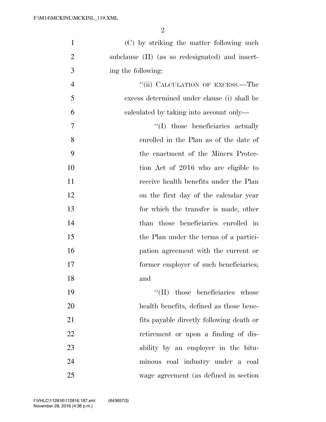| $\mathbf{1}$   | (C) by striking the matter following such       |
|----------------|-------------------------------------------------|
| $\overline{2}$ | subclause (II) (as so redesignated) and insert- |
| 3              | ing the following:                              |
| $\overline{4}$ | "(ii) CALCULATION OF EXCESS.—The                |
| 5              | excess determined under clause (i) shall be     |
| 6              | calculated by taking into account only—         |
| 7              | "(I) those beneficiaries actually               |
| 8              | enrolled in the Plan as of the date of          |
| 9              | the enactment of the Miners Protec-             |
| 10             | tion Act of 2016 who are eligible to            |
| 11             | receive health benefits under the Plan          |
| 12             | on the first day of the calendar year           |
| 13             | for which the transfer is made, other           |
| 14             | than those beneficiaries enrolled in            |
| 15             | the Plan under the terms of a partici-          |
| 16             | pation agreement with the current or            |
| 17             | former employer of such beneficiaries;          |
| 18             | and                                             |
| 19             | $\lq\lq$ (II) those beneficiaries whose         |
| 20             | health benefits, defined as those bene-         |
| 21             | fits payable directly following death or        |
| 22             | retirement or upon a finding of dis-            |
| 23             | ability by an employer in the bitu-             |
| 24             | minous coal industry under a coal               |
| 25             | wage agreement (as defined in section)          |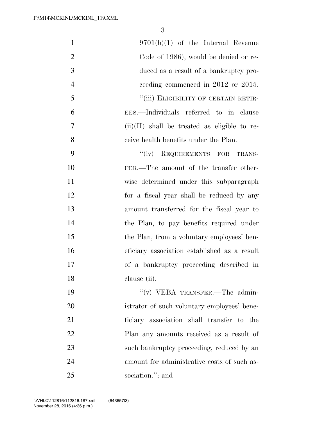| $\mathbf{1}$   | $9701(b)(1)$ of the Internal Revenue           |
|----------------|------------------------------------------------|
| $\overline{2}$ | Code of 1986), would be denied or re-          |
| 3              | duced as a result of a bankruptcy pro-         |
| $\overline{4}$ | ceeding commenced in 2012 or 2015.             |
| 5              | "(iii) ELIGIBILITY OF CERTAIN RETIR-           |
| 6              | EES.—Individuals referred to in clause         |
| 7              | $(ii)(II)$ shall be treated as eligible to re- |
| 8              | ceive health benefits under the Plan.          |
| 9              | "(iv) REQUIREMENTS FOR TRANS-                  |
| 10             | FER.—The amount of the transfer other-         |
| 11             | wise determined under this subparagraph        |
| 12             | for a fiscal year shall be reduced by any      |
| 13             | amount transferred for the fiscal year to      |
| 14             | the Plan, to pay benefits required under       |
| 15             | the Plan, from a voluntary employees' ben-     |
| 16             | eficiary association established as a result   |
| 17             | of a bankruptcy proceeding described in        |
| 18             | clause (ii).                                   |
| 19             | "(v) VEBA TRANSFER.—The admin-                 |
| 20             | istrator of such voluntary employees' bene-    |
| 21             | ficiary association shall transfer to the      |
| 22             | Plan any amounts received as a result of       |
| 23             | such bankruptcy proceeding, reduced by an      |
| 24             | amount for administrative costs of such as-    |
| 25             | sociation."; and                               |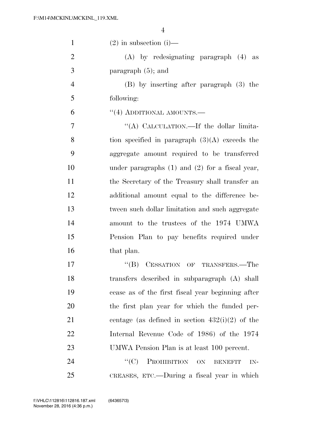| $\mathbf{1}$   | $(2)$ in subsection $(i)$ —                         |
|----------------|-----------------------------------------------------|
| $\overline{2}$ | $(A)$ by redesignating paragraph $(4)$ as           |
| 3              | paragraph $(5)$ ; and                               |
| $\overline{4}$ | (B) by inserting after paragraph (3) the            |
| 5              | following:                                          |
| 6              | $``(4)$ ADDITIONAL AMOUNTS.—                        |
| $\overline{7}$ | "(A) CALCULATION.—If the dollar limita-             |
| 8              | tion specified in paragraph $(3)(A)$ exceeds the    |
| 9              | aggregate amount required to be transferred         |
| 10             | under paragraphs $(1)$ and $(2)$ for a fiscal year, |
| 11             | the Secretary of the Treasury shall transfer an     |
| 12             | additional amount equal to the difference be-       |
| 13             | tween such dollar limitation and such aggregate     |
| 14             | amount to the trustees of the 1974 UMWA             |
| 15             | Pension Plan to pay benefits required under         |
| 16             | that plan.                                          |
| 17             | CESSATION OF TRANSFERS.-The<br>$\lq\lq (B)$         |
| 18             | transfers described in subparagraph (A) shall       |
| 19             | cease as of the first fiscal year beginning after   |
| 20             | the first plan year for which the funded per-       |
| 21             | centage (as defined in section $432(i)(2)$ of the   |
| 22             | Internal Revenue Code of 1986) of the 1974          |
| 23             | UMWA Pension Plan is at least 100 percent.          |
| 24             | PROHIBITION ON<br>``(C)<br><b>BENEFIT</b><br>IN-    |
| 25             | CREASES, ETC.—During a fiscal year in which         |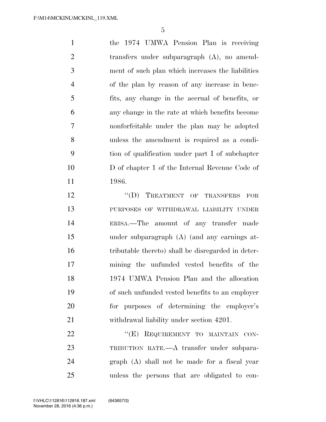the 1974 UMWA Pension Plan is receiving transfers under subparagraph (A), no amend- ment of such plan which increases the liabilities of the plan by reason of any increase in bene- fits, any change in the accrual of benefits, or any change in the rate at which benefits become nonforfeitable under the plan may be adopted unless the amendment is required as a condi- tion of qualification under part I of subchapter D of chapter 1 of the Internal Revenue Code of 1986.

12 "(D) TREATMENT OF TRANSFERS FOR PURPOSES OF WITHDRAWAL LIABILITY UNDER ERISA.—The amount of any transfer made under subparagraph (A) (and any earnings at- tributable thereto) shall be disregarded in deter- mining the unfunded vested benefits of the 1974 UMWA Pension Plan and the allocation of such unfunded vested benefits to an employer for purposes of determining the employer's withdrawal liability under section 4201.

22 "(E) REQUIREMENT TO MAINTAIN CON- TRIBUTION RATE.—A transfer under subpara- graph (A) shall not be made for a fiscal year unless the persons that are obligated to con-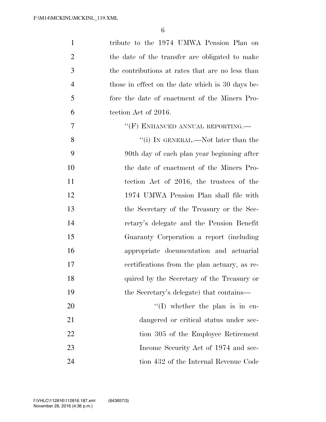| $\mathbf{1}$   | tribute to the 1974 UMWA Pension Plan on         |
|----------------|--------------------------------------------------|
| $\overline{2}$ | the date of the transfer are obligated to make   |
| 3              | the contributions at rates that are no less than |
| $\overline{4}$ | those in effect on the date which is 30 days be- |
| 5              | fore the date of enactment of the Miners Pro-    |
| 6              | tection Act of 2016.                             |
| 7              | $``$ (F) ENHANCED ANNUAL REPORTING.—             |
| 8              | "(i) In GENERAL.—Not later than the              |
| 9              | 90th day of each plan year beginning after       |
| 10             | the date of enactment of the Miners Pro-         |
| 11             | tection Act of 2016, the trustees of the         |
| 12             | 1974 UMWA Pension Plan shall file with           |
| 13             | the Secretary of the Treasury or the Sec-        |
| 14             | retary's delegate and the Pension Benefit        |
| 15             | Guaranty Corporation a report (including         |
| 16             | appropriate documentation and actuarial          |
| 17             | certifications from the plan actuary, as re-     |
| 18             | quired by the Secretary of the Treasury or       |
| 19             | the Secretary's delegate) that contains—         |
| 20             | $\lq\lq$ (I) whether the plan is in en-          |
| 21             | dangered or critical status under sec-           |
| 22             | tion 305 of the Employee Retirement              |
| 23             | Income Security Act of 1974 and sec-             |
| 24             | tion 432 of the Internal Revenue Code            |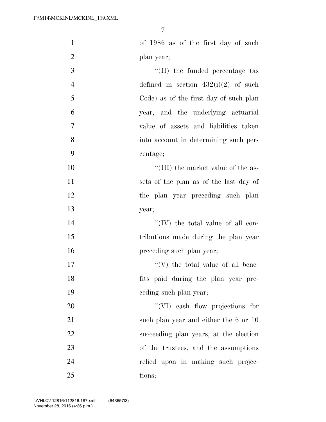| $\mathbf{1}$   | of 1986 as of the first day of such      |
|----------------|------------------------------------------|
| $\overline{2}$ | plan year;                               |
| 3              | $\lq\lq$ (II) the funded percentage (as  |
| $\overline{4}$ | defined in section $432(i)(2)$ of such   |
| 5              | Code) as of the first day of such plan   |
| 6              | year, and the underlying actuarial       |
| 7              | value of assets and liabilities taken    |
| 8              | into account in determining such per-    |
| 9              | centage;                                 |
| 10             | "(III) the market value of the as-       |
| 11             | sets of the plan as of the last day of   |
| 12             | the plan year preceding such plan        |
| 13             | year;                                    |
| 14             | "(IV) the total value of all con-        |
| 15             | tributions made during the plan year     |
| 16             | preceding such plan year;                |
| 17             | $\lq\lq(V)$ the total value of all bene- |
| 18             | fits paid during the plan year pre-      |
| 19             | eeding such plan year;                   |
| 20             | "(VI) eash flow projections for          |
| 21             | such plan year and either the 6 or 10    |
| 22             | succeeding plan years, at the election   |
| 23             | of the trustees, and the assumptions     |
| 24             | relied upon in making such projec-       |
| 25             | tions;                                   |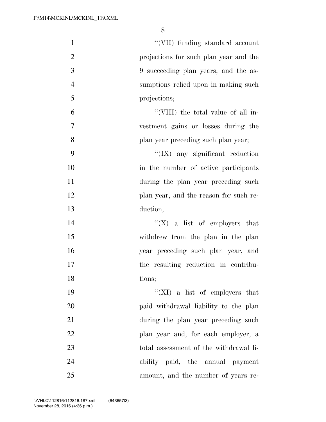| $\mathbf{1}$   | "(VII) funding standard account         |
|----------------|-----------------------------------------|
| $\overline{2}$ | projections for such plan year and the  |
| 3              | 9 succeeding plan years, and the as-    |
| $\overline{4}$ | sumptions relied upon in making such    |
| $\mathfrak{S}$ | projections;                            |
| 6              | "(VIII) the total value of all in-      |
| $\tau$         | vestment gains or losses during the     |
| $8\,$          | plan year preceding such plan year;     |
| 9              | $\lq\lq$ (IX) any significant reduction |
| 10             | in the number of active participants    |
| 11             | during the plan year preceding such     |
| 12             | plan year, and the reason for such re-  |
| 13             | duction;                                |
| 14             | "(X) a list of employers that           |
| 15             | withdrew from the plan in the plan      |
| 16             | year preceding such plan year, and      |
| 17             | the resulting reduction in contribu-    |
| 18             | tions;                                  |
| 19             | "(XI) a list of employers that          |
| 20             | paid withdrawal liability to the plan   |
| 21             | during the plan year preceding such     |
| 22             | plan year and, for each employer, a     |
| 23             | total assessment of the withdrawal li-  |
| 24             | ability paid, the annual payment        |
| 25             | amount, and the number of years re-     |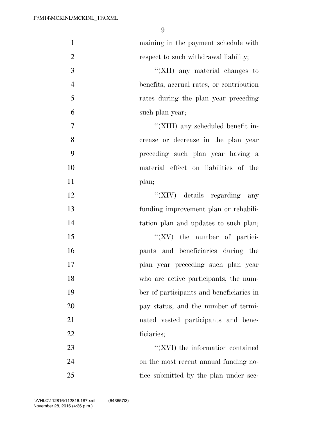| $\mathbf{1}$   | maining in the payment schedule with     |
|----------------|------------------------------------------|
| $\overline{2}$ | respect to such withdrawal liability;    |
| 3              | "(XII) any material changes to           |
| $\overline{4}$ | benefits, accrual rates, or contribution |
| 5              | rates during the plan year preceding     |
| 6              | such plan year;                          |
| $\tau$         | "(XIII) any scheduled benefit in-        |
| 8              | crease or decrease in the plan year      |
| 9              | preceding such plan year having a        |
| 10             | material effect on liabilities of the    |
| 11             | plan;                                    |
| 12             | "(XIV) details regarding<br>any          |
| 13             | funding improvement plan or rehabili-    |
| 14             | tation plan and updates to such plan;    |
| 15             | $\lq\lq$ (XV) the number of partici-     |
| 16             | pants and beneficiaries during the       |
| 17             | plan year preceding such plan year       |
| 18             | who are active participants, the num-    |
| 19             | ber of participants and beneficiaries in |
| 20             | pay status, and the number of termi-     |
| 21             | nated vested participants and bene-      |
| 22             | ficiaries;                               |
| 23             | $``(XVI)$ the information contained      |
| 24             | on the most recent annual funding no-    |
| 25             | tice submitted by the plan under sec-    |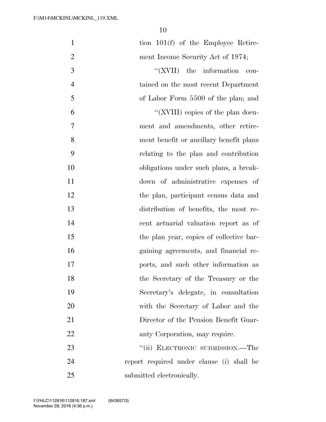| $\mathbf{1}$   | tion $101(f)$ of the Employee Retire-     |
|----------------|-------------------------------------------|
| $\mathbf{2}$   | ment Income Security Act of 1974;         |
| $\mathfrak{Z}$ | $``(XVII)$ the information<br>con-        |
| $\overline{4}$ | tained on the most recent Department      |
| 5              | of Labor Form 5500 of the plan; and       |
| 6              | "(XVIII) copies of the plan docu-         |
| $\overline{7}$ | ment and amendments, other retire-        |
| 8              | ment benefit or ancillary benefit plans   |
| 9              | relating to the plan and contribution     |
| 10             | obligations under such plans, a break-    |
| 11             | down of administrative expenses of        |
| 12             | the plan, participant census data and     |
| 13             | distribution of benefits, the most re-    |
| 14             | cent actuarial valuation report as of     |
| 15             | the plan year, copies of collective bar-  |
| 16             | gaining agreements, and financial re-     |
| 17             | ports, and such other information as      |
| 18             | the Secretary of the Treasury or the      |
| 19             | Secretary's delegate, in consultation     |
| 20             | with the Secretary of Labor and the       |
| 21             | Director of the Pension Benefit Guar-     |
| 22             | anty Corporation, may require.            |
| 23             | "(ii) ELECTRONIC SUBMISSION.—The          |
| 24             | report required under clause (i) shall be |
| 25             | submitted electronically.                 |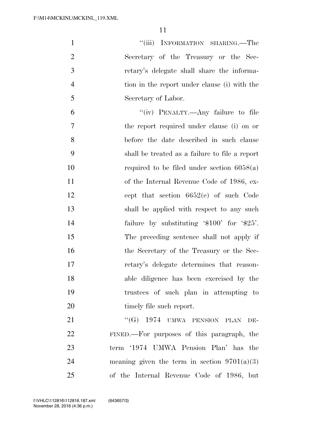1 ''(iii) INFORMATION SHARING.—The Secretary of the Treasury or the Sec- retary's delegate shall share the informa- tion in the report under clause (i) with the Secretary of Labor. ''(iv) PENALTY.—Any failure to file the report required under clause (i) on or before the date described in such clause

 shall be treated as a failure to file a report required to be filed under section 6058(a) of the Internal Revenue Code of 1986, ex- cept that section 6652(e) of such Code shall be applied with respect to any such 14 failure by substituting '\$100' for '\$25'. The preceding sentence shall not apply if 16 the Secretary of the Treasury or the Sec- retary's delegate determines that reason- able diligence has been exercised by the trustees of such plan in attempting to 20 timely file such report.

21 "(G) 1974 UMWA PENSION PLAN DE- FINED.—For purposes of this paragraph, the term '1974 UMWA Pension Plan' has the 24 meaning given the term in section  $9701(a)(3)$ of the Internal Revenue Code of 1986, but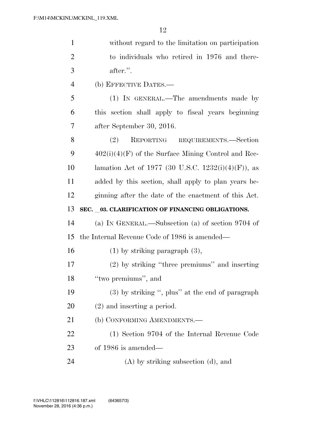| $\mathbf{1}$   | without regard to the limitation on participation     |
|----------------|-------------------------------------------------------|
| $\overline{2}$ | to individuals who retired in 1976 and there-         |
| 3              | after.".                                              |
| $\overline{4}$ | (b) EFFECTIVE DATES.—                                 |
| 5              | (1) IN GENERAL.—The amendments made by                |
| 6              | this section shall apply to fiscal years beginning    |
| 7              | after September 30, 2016.                             |
| 8              | (2)<br>REPORTING REQUIREMENTS.-Section                |
| 9              | $402(i)(4)(F)$ of the Surface Mining Control and Rec- |
| 10             | lamation Act of 1977 (30 U.S.C. 1232(i)(4)(F)), as    |
| 11             | added by this section, shall apply to plan years be-  |
| 12             | ginning after the date of the enactment of this Act.  |
|                |                                                       |
| 13             | SEC. _03. CLARIFICATION OF FINANCING OBLIGATIONS.     |
| 14             | (a) IN GENERAL.—Subsection (a) of section $9704$ of   |
| 15             | the Internal Revenue Code of 1986 is amended—         |
| 16             | $(1)$ by striking paragraph $(3)$ ,                   |
| 17             | (2) by striking "three premiums" and inserting        |
| 18             | "two premiums", and                                   |
| 19             | $(3)$ by striking ", plus" at the end of paragraph    |
| 20             | $(2)$ and inserting a period.                         |
| 21             | (b) CONFORMING AMENDMENTS.—                           |
| 22             | (1) Section 9704 of the Internal Revenue Code         |
| 23             | of $1986$ is amended—                                 |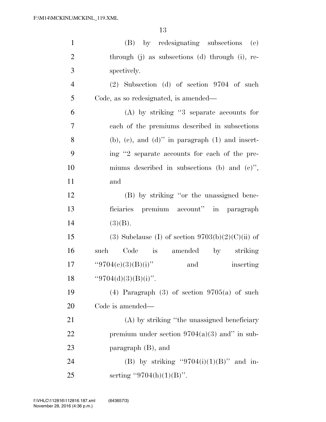| $\mathbf{1}$   | (B) by redesignating subsections<br>(e)                    |
|----------------|------------------------------------------------------------|
| $\overline{2}$ | through (j) as subsections (d) through (i), re-            |
| 3              | spectively.                                                |
| $\overline{4}$ | $(2)$ Subsection $(d)$ of section 9704 of such             |
| 5              | Code, as so redesignated, is amended—                      |
| 6              | $(A)$ by striking "3 separate accounts for                 |
| 7              | each of the premiums described in subsections              |
| 8              | $(b)$ , $(c)$ , and $(d)$ " in paragraph $(1)$ and insert- |
| 9              | ing "2 separate accounts for each of the pre-              |
| 10             | miums described in subsections (b) and $(e)$ ,             |
| 11             | and                                                        |
| 12             | (B) by striking "or the unassigned bene-                   |
| 13             | ficiaries premium account" in paragraph                    |
| 14             | (3)(B).                                                    |
| 15             | (3) Subclause (I) of section $9703(b)(2)(C)(ii)$ of        |
| 16             | Code is<br>amended by striking<br>such                     |
| 17             | "9704(e)(3)(B)(i)"<br>inserting<br>and                     |
| 18             | "9704(d)(3)(B)(i)".                                        |
| 19             | (4) Paragraph (3) of section $9705(a)$ of such             |
| 20             | Code is amended—                                           |
| 21             | (A) by striking "the unassigned beneficiary                |
| 22             | premium under section $9704(a)(3)$ and" in sub-            |
| 23             | paragraph $(B)$ , and                                      |
| 24             | (B) by striking "9704(i)(1)(B)" and in-                    |
| 25             | serting "9704(h)(1)(B)".                                   |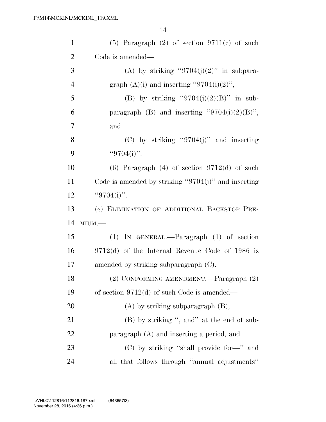| $\mathbf{1}$   | $(5)$ Paragraph $(2)$ of section $9711(c)$ of such      |
|----------------|---------------------------------------------------------|
| $\overline{2}$ | Code is amended—                                        |
| 3              | (A) by striking "9704(j)(2)" in subpara-                |
| $\overline{4}$ | graph $(A)(i)$ and inserting "9704(i)(2)",              |
| 5              | (B) by striking "9704(j)(2)(B)" in sub-                 |
| 6              | paragraph (B) and inserting " $9704(i)(2)(B)$ ",        |
| 7              | and                                                     |
| 8              | (C) by striking "9704(j)" and inserting                 |
| 9              | "9704(i)".                                              |
| 10             | $(6)$ Paragraph $(4)$ of section 9712 $(d)$ of such     |
| 11             | Code is amended by striking " $9704(j)$ " and inserting |
| 12             | " $9704(i)$ ".                                          |
|                |                                                         |
| 13             | (c) ELIMINATION OF ADDITIONAL BACKSTOP PRE-             |
| 14             | $MIUM$ .                                                |
| 15             | $(1)$ IN GENERAL.—Paragraph $(1)$ of section            |
| 16             | $9712(d)$ of the Internal Revenue Code of 1986 is       |
| 17             | amended by striking subparagraph $(C)$ .                |
| 18             | (2) CONFORMING AMENDMENT.—Paragraph (2)                 |
| 19             | of section $9712(d)$ of such Code is amended—           |
| 20             | $(A)$ by striking subparagraph $(B)$ ,                  |
| 21             | (B) by striking ", and" at the end of sub-              |
| 22             | paragraph (A) and inserting a period, and               |
| 23             | (C) by striking "shall provide for-" and                |